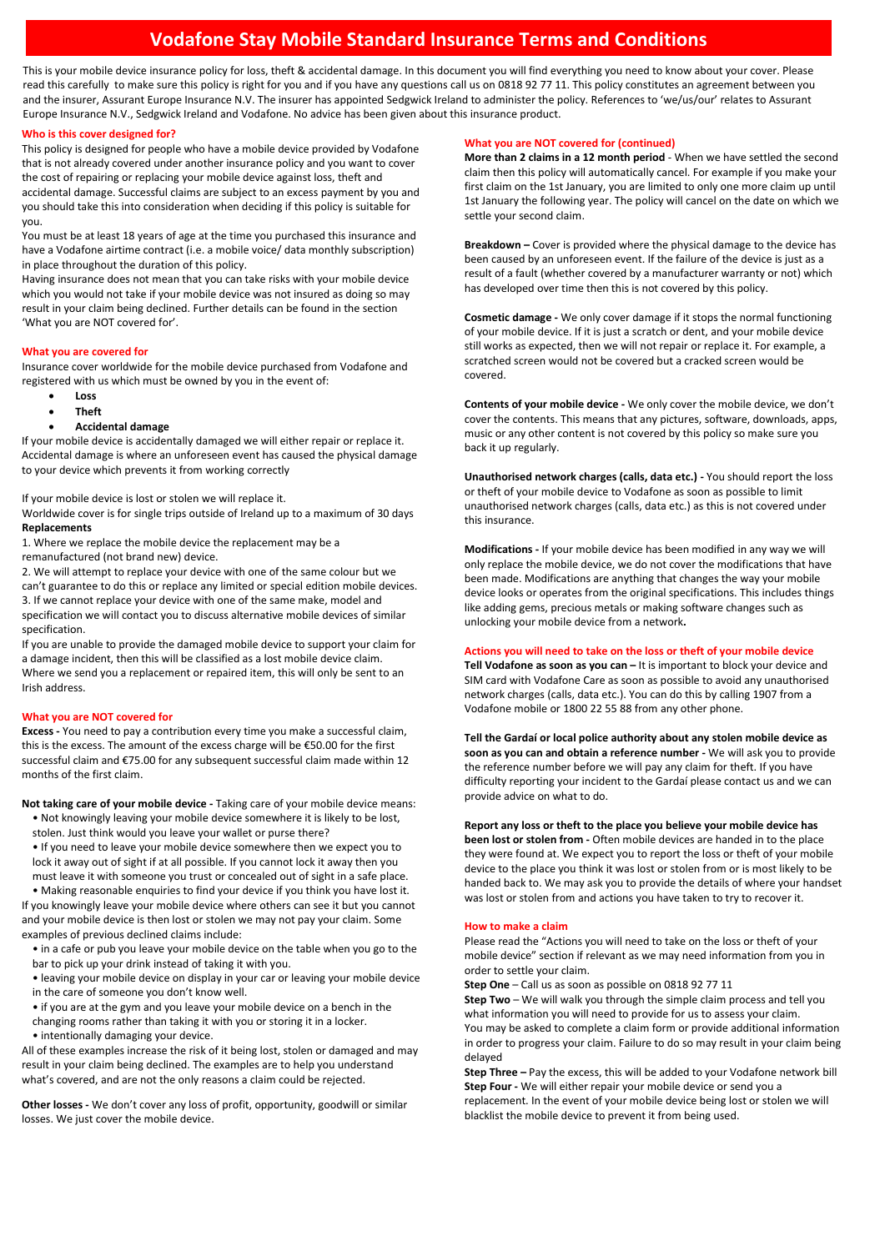# **Vodafone Stay Mobile Standard Insurance Terms and Conditions**

This is your mobile device insurance policy for loss, theft & accidental damage. In this document you will find everything you need to know about your cover. Please read this carefully to make sure this policy is right for you and if you have any questions call us on 0818 92 77 11. This policy constitutes an agreement between you and the insurer, Assurant Europe Insurance N.V. The insurer has appointed Sedgwick Ireland to administer the policy. References to 'we/us/our' relates to Assurant Europe Insurance N.V., Sedgwick Ireland and Vodafone. No advice has been given about this insurance product.

# **Who is this cover designed for?**

This policy is designed for people who have a mobile device provided by Vodafone that is not already covered under another insurance policy and you want to cover the cost of repairing or replacing your mobile device against loss, theft and accidental damage. Successful claims are subject to an excess payment by you and you should take this into consideration when deciding if this policy is suitable for you.

You must be at least 18 years of age at the time you purchased this insurance and have a Vodafone airtime contract (i.e. a mobile voice/ data monthly subscription) in place throughout the duration of this policy.

Having insurance does not mean that you can take risks with your mobile device which you would not take if your mobile device was not insured as doing so may result in your claim being declined. Further details can be found in the section 'What you are NOT covered for'.

## **What you are covered for**

Insurance cover worldwide for the mobile device purchased from Vodafone and registered with us which must be owned by you in the event of:

- **Loss**
- **Theft**
- **Accidental damage**

If your mobile device is accidentally damaged we will either repair or replace it. Accidental damage is where an unforeseen event has caused the physical damage to your device which prevents it from working correctly

If your mobile device is lost or stolen we will replace it.

Worldwide cover is for single trips outside of Ireland up to a maximum of 30 days **Replacements**

1. Where we replace the mobile device the replacement may be a remanufactured (not brand new) device.

2. We will attempt to replace your device with one of the same colour but we can't guarantee to do this or replace any limited or special edition mobile devices. 3. If we cannot replace your device with one of the same make, model and specification we will contact you to discuss alternative mobile devices of similar specification.

If you are unable to provide the damaged mobile device to support your claim for a damage incident, then this will be classified as a lost mobile device claim. Where we send you a replacement or repaired item, this will only be sent to an Irish address.

## **What you are NOT covered for**

**Excess -** You need to pay a contribution every time you make a successful claim, this is the excess. The amount of the excess charge will be €50.00 for the first successful claim and €75.00 for any subsequent successful claim made within 12 months of the first claim.

**Not taking care of your mobile device -** Taking care of your mobile device means:

• Not knowingly leaving your mobile device somewhere it is likely to be lost, stolen. Just think would you leave your wallet or purse there?

• If you need to leave your mobile device somewhere then we expect you to lock it away out of sight if at all possible. If you cannot lock it away then you must leave it with someone you trust or concealed out of sight in a safe place.

• Making reasonable enquiries to find your device if you think you have lost it. If you knowingly leave your mobile device where others can see it but you cannot and your mobile device is then lost or stolen we may not pay your claim. Some examples of previous declined claims include:

• in a cafe or pub you leave your mobile device on the table when you go to the bar to pick up your drink instead of taking it with you.

• leaving your mobile device on display in your car or leaving your mobile device in the care of someone you don't know well.

• if you are at the gym and you leave your mobile device on a bench in the

changing rooms rather than taking it with you or storing it in a locker.

• intentionally damaging your device.

All of these examples increase the risk of it being lost, stolen or damaged and may result in your claim being declined. The examples are to help you understand what's covered, and are not the only reasons a claim could be rejected.

**Other losses -** We don't cover any loss of profit, opportunity, goodwill or similar losses. We just cover the mobile device.

## **What you are NOT covered for (continued)**

**More than 2 claims in a 12 month period** - When we have settled the second claim then this policy will automatically cancel. For example if you make your first claim on the 1st January, you are limited to only one more claim up until 1st January the following year. The policy will cancel on the date on which we settle your second claim.

**Breakdown –** Cover is provided where the physical damage to the device has been caused by an unforeseen event. If the failure of the device is just as a result of a fault (whether covered by a manufacturer warranty or not) which has developed over time then this is not covered by this policy.

**Cosmetic damage -** We only cover damage if it stops the normal functioning of your mobile device. If it is just a scratch or dent, and your mobile device still works as expected, then we will not repair or replace it. For example, a scratched screen would not be covered but a cracked screen would be covered.

**Contents of your mobile device -** We only cover the mobile device, we don't cover the contents. This means that any pictures, software, downloads, apps, music or any other content is not covered by this policy so make sure you back it up regularly.

**Unauthorised network charges (calls, data etc.) -** You should report the loss or theft of your mobile device to Vodafone as soon as possible to limit unauthorised network charges (calls, data etc.) as this is not covered under this insurance.

**Modifications -** If your mobile device has been modified in any way we will only replace the mobile device, we do not cover the modifications that have been made. Modifications are anything that changes the way your mobile device looks or operates from the original specifications. This includes things like adding gems, precious metals or making software changes such as unlocking your mobile device from a network**.**

## **Actions you will need to take on the loss or theft of your mobile device**

**Tell Vodafone as soon as you can –** It is important to block your device and SIM card with Vodafone Care as soon as possible to avoid any unauthorised network charges (calls, data etc.). You can do this by calling 1907 from a Vodafone mobile or 1800 22 55 88 from any other phone.

**Tell the Gardaí or local police authority about any stolen mobile device as soon as you can and obtain a reference number -** We will ask you to provide the reference number before we will pay any claim for theft. If you have difficulty reporting your incident to the Gardaí please contact us and we can provide advice on what to do.

**Report any loss or theft to the place you believe your mobile device has** 

**been lost or stolen from -** Often mobile devices are handed in to the place they were found at. We expect you to report the loss or theft of your mobile device to the place you think it was lost or stolen from or is most likely to be handed back to. We may ask you to provide the details of where your handset was lost or stolen from and actions you have taken to try to recover it.

## **How to make a claim**

Please read the "Actions you will need to take on the loss or theft of your mobile device" section if relevant as we may need information from you in order to settle your claim.

**Step One** – Call us as soon as possible on 0818 92 77 11

**Step Two** – We will walk you through the simple claim process and tell you what information you will need to provide for us to assess your claim. You may be asked to complete a claim form or provide additional information in order to progress your claim. Failure to do so may result in your claim being delayed

**Step Three –** Pay the excess, this will be added to your Vodafone network bill **Step Four -** We will either repair your mobile device or send you a replacement. In the event of your mobile device being lost or stolen we will blacklist the mobile device to prevent it from being used.